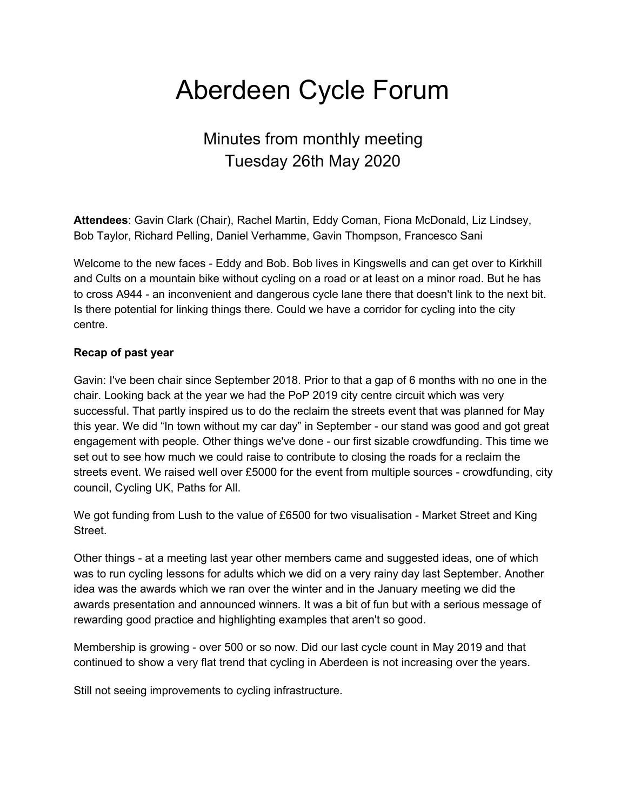# Aberdeen Cycle Forum

## Minutes from monthly meeting Tuesday 26th May 2020

**Attendees**: Gavin Clark (Chair), Rachel Martin, Eddy Coman, Fiona McDonald, Liz Lindsey, Bob Taylor, Richard Pelling, Daniel Verhamme, Gavin Thompson, Francesco Sani

Welcome to the new faces - Eddy and Bob. Bob lives in Kingswells and can get over to Kirkhill and Cults on a mountain bike without cycling on a road or at least on a minor road. But he has to cross A944 - an inconvenient and dangerous cycle lane there that doesn't link to the next bit. Is there potential for linking things there. Could we have a corridor for cycling into the city centre.

#### **Recap of past year**

Gavin: I've been chair since September 2018. Prior to that a gap of 6 months with no one in the chair. Looking back at the year we had the PoP 2019 city centre circuit which was very successful. That partly inspired us to do the reclaim the streets event that was planned for May this year. We did "In town without my car day" in September - our stand was good and got great engagement with people. Other things we've done - our first sizable crowdfunding. This time we set out to see how much we could raise to contribute to closing the roads for a reclaim the streets event. We raised well over £5000 for the event from multiple sources - crowdfunding, city council, Cycling UK, Paths for All.

We got funding from Lush to the value of £6500 for two visualisation - Market Street and King Street.

Other things - at a meeting last year other members came and suggested ideas, one of which was to run cycling lessons for adults which we did on a very rainy day last September. Another idea was the awards which we ran over the winter and in the January meeting we did the awards presentation and announced winners. It was a bit of fun but with a serious message of rewarding good practice and highlighting examples that aren't so good.

Membership is growing - over 500 or so now. Did our last cycle count in May 2019 and that continued to show a very flat trend that cycling in Aberdeen is not increasing over the years.

Still not seeing improvements to cycling infrastructure.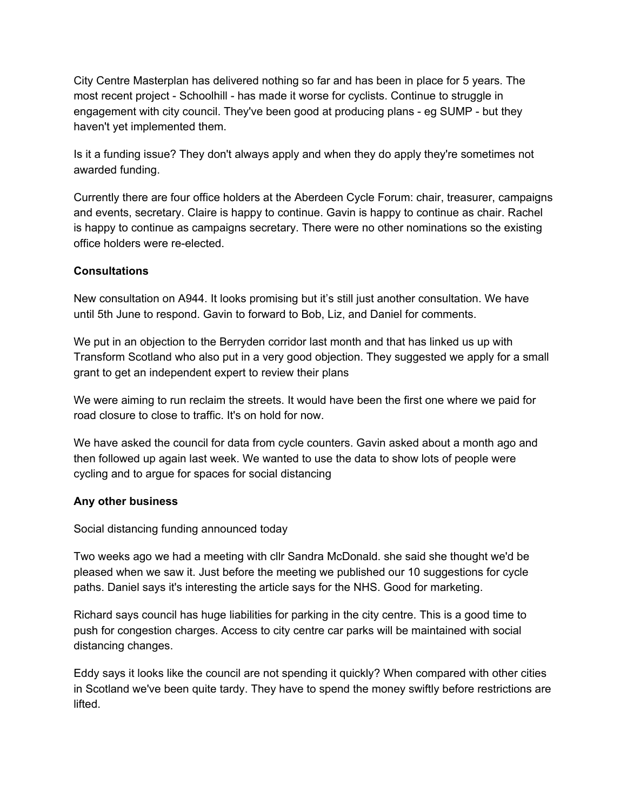City Centre Masterplan has delivered nothing so far and has been in place for 5 years. The most recent project - Schoolhill - has made it worse for cyclists. Continue to struggle in engagement with city council. They've been good at producing plans - eg SUMP - but they haven't yet implemented them.

Is it a funding issue? They don't always apply and when they do apply they're sometimes not awarded funding.

Currently there are four office holders at the Aberdeen Cycle Forum: chair, treasurer, campaigns and events, secretary. Claire is happy to continue. Gavin is happy to continue as chair. Rachel is happy to continue as campaigns secretary. There were no other nominations so the existing office holders were re-elected.

#### **Consultations**

New consultation on A944. It looks promising but it's still just another consultation. We have until 5th June to respond. Gavin to forward to Bob, Liz, and Daniel for comments.

We put in an objection to the Berryden corridor last month and that has linked us up with Transform Scotland who also put in a very good objection. They suggested we apply for a small grant to get an independent expert to review their plans

We were aiming to run reclaim the streets. It would have been the first one where we paid for road closure to close to traffic. It's on hold for now.

We have asked the council for data from cycle counters. Gavin asked about a month ago and then followed up again last week. We wanted to use the data to show lots of people were cycling and to argue for spaces for social distancing

### **Any other business**

Social distancing funding announced today

Two weeks ago we had a meeting with cllr Sandra McDonald. she said she thought we'd be pleased when we saw it. Just before the meeting we published our 10 suggestions for cycle paths. Daniel says it's interesting the article says for the NHS. Good for marketing.

Richard says council has huge liabilities for parking in the city centre. This is a good time to push for congestion charges. Access to city centre car parks will be maintained with social distancing changes.

Eddy says it looks like the council are not spending it quickly? When compared with other cities in Scotland we've been quite tardy. They have to spend the money swiftly before restrictions are lifted.